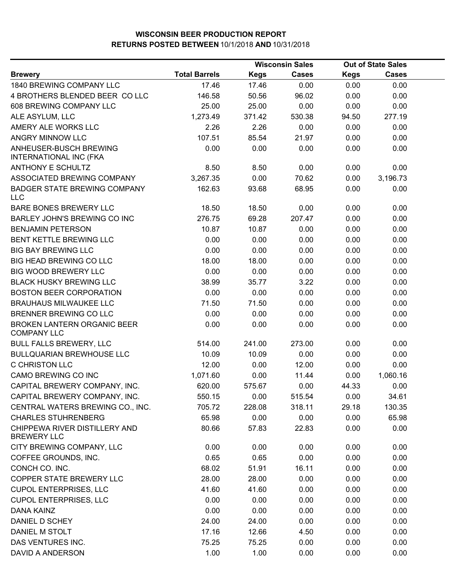|                                                     |                      | <b>Wisconsin Sales</b> |              | <b>Out of State Sales</b> |              |  |
|-----------------------------------------------------|----------------------|------------------------|--------------|---------------------------|--------------|--|
| <b>Brewery</b>                                      | <b>Total Barrels</b> | <b>Kegs</b>            | <b>Cases</b> | <b>Kegs</b>               | <b>Cases</b> |  |
| 1840 BREWING COMPANY LLC                            | 17.46                | 17.46                  | 0.00         | 0.00                      | 0.00         |  |
| 4 BROTHERS BLENDED BEER COLLC                       | 146.58               | 50.56                  | 96.02        | 0.00                      | 0.00         |  |
| 608 BREWING COMPANY LLC                             | 25.00                | 25.00                  | 0.00         | 0.00                      | 0.00         |  |
| ALE ASYLUM, LLC                                     | 1,273.49             | 371.42                 | 530.38       | 94.50                     | 277.19       |  |
| AMERY ALE WORKS LLC                                 | 2.26                 | 2.26                   | 0.00         | 0.00                      | 0.00         |  |
| ANGRY MINNOW LLC                                    | 107.51               | 85.54                  | 21.97        | 0.00                      | 0.00         |  |
| ANHEUSER-BUSCH BREWING<br>INTERNATIONAL INC (FKA    | 0.00                 | 0.00                   | 0.00         | 0.00                      | 0.00         |  |
| <b>ANTHONY E SCHULTZ</b>                            | 8.50                 | 8.50                   | 0.00         | 0.00                      | 0.00         |  |
| ASSOCIATED BREWING COMPANY                          | 3,267.35             | 0.00                   | 70.62        | 0.00                      | 3,196.73     |  |
| <b>BADGER STATE BREWING COMPANY</b><br><b>LLC</b>   | 162.63               | 93.68                  | 68.95        | 0.00                      | 0.00         |  |
| BARE BONES BREWERY LLC                              | 18.50                | 18.50                  | 0.00         | 0.00                      | 0.00         |  |
| BARLEY JOHN'S BREWING CO INC                        | 276.75               | 69.28                  | 207.47       | 0.00                      | 0.00         |  |
| <b>BENJAMIN PETERSON</b>                            | 10.87                | 10.87                  | 0.00         | 0.00                      | 0.00         |  |
| BENT KETTLE BREWING LLC                             | 0.00                 | 0.00                   | 0.00         | 0.00                      | 0.00         |  |
| <b>BIG BAY BREWING LLC</b>                          | 0.00                 | 0.00                   | 0.00         | 0.00                      | 0.00         |  |
| <b>BIG HEAD BREWING CO LLC</b>                      | 18.00                | 18.00                  | 0.00         | 0.00                      | 0.00         |  |
| <b>BIG WOOD BREWERY LLC</b>                         | 0.00                 | 0.00                   | 0.00         | 0.00                      | 0.00         |  |
| <b>BLACK HUSKY BREWING LLC</b>                      | 38.99                | 35.77                  | 3.22         | 0.00                      | 0.00         |  |
| <b>BOSTON BEER CORPORATION</b>                      | 0.00                 | 0.00                   | 0.00         | 0.00                      | 0.00         |  |
| <b>BRAUHAUS MILWAUKEE LLC</b>                       | 71.50                | 71.50                  | 0.00         | 0.00                      | 0.00         |  |
| BRENNER BREWING CO LLC                              | 0.00                 | 0.00                   | 0.00         | 0.00                      | 0.00         |  |
| BROKEN LANTERN ORGANIC BEER<br><b>COMPANY LLC</b>   | 0.00                 | 0.00                   | 0.00         | 0.00                      | 0.00         |  |
| <b>BULL FALLS BREWERY, LLC</b>                      | 514.00               | 241.00                 | 273.00       | 0.00                      | 0.00         |  |
| BULLQUARIAN BREWHOUSE LLC                           | 10.09                | 10.09                  | 0.00         | 0.00                      | 0.00         |  |
| C CHRISTON LLC                                      | 12.00                | 0.00                   | 12.00        | 0.00                      | 0.00         |  |
| CAMO BREWING CO INC                                 | 1,071.60             | 0.00                   | 11.44        | 0.00                      | 1,060.16     |  |
| CAPITAL BREWERY COMPANY, INC.                       | 620.00               | 575.67                 | 0.00         | 44.33                     | 0.00         |  |
| CAPITAL BREWERY COMPANY, INC.                       | 550.15               | 0.00                   | 515.54       | 0.00                      | 34.61        |  |
| CENTRAL WATERS BREWING CO., INC.                    | 705.72               | 228.08                 | 318.11       | 29.18                     | 130.35       |  |
| <b>CHARLES STUHRENBERG</b>                          | 65.98                | 0.00                   | 0.00         | 0.00                      | 65.98        |  |
| CHIPPEWA RIVER DISTILLERY AND<br><b>BREWERY LLC</b> | 80.66                | 57.83                  | 22.83        | 0.00                      | 0.00         |  |
| CITY BREWING COMPANY, LLC                           | 0.00                 | 0.00                   | 0.00         | 0.00                      | 0.00         |  |
| COFFEE GROUNDS, INC.                                | 0.65                 | 0.65                   | 0.00         | 0.00                      | 0.00         |  |
| CONCH CO. INC.                                      | 68.02                | 51.91                  | 16.11        | 0.00                      | 0.00         |  |
| COPPER STATE BREWERY LLC                            | 28.00                | 28.00                  | 0.00         | 0.00                      | 0.00         |  |
| <b>CUPOL ENTERPRISES, LLC</b>                       | 41.60                | 41.60                  | 0.00         | 0.00                      | 0.00         |  |
| <b>CUPOL ENTERPRISES, LLC</b>                       | 0.00                 | 0.00                   | 0.00         | 0.00                      | 0.00         |  |
| DANA KAINZ                                          | 0.00                 | 0.00                   | 0.00         | 0.00                      | 0.00         |  |
| DANIEL D SCHEY                                      | 24.00                | 24.00                  | 0.00         | 0.00                      | 0.00         |  |
| DANIEL M STOLT                                      | 17.16                | 12.66                  | 4.50         | 0.00                      | 0.00         |  |
| DAS VENTURES INC.                                   | 75.25                | 75.25                  | 0.00         | 0.00                      | 0.00         |  |
| DAVID A ANDERSON                                    | 1.00                 | 1.00                   | 0.00         | 0.00                      | 0.00         |  |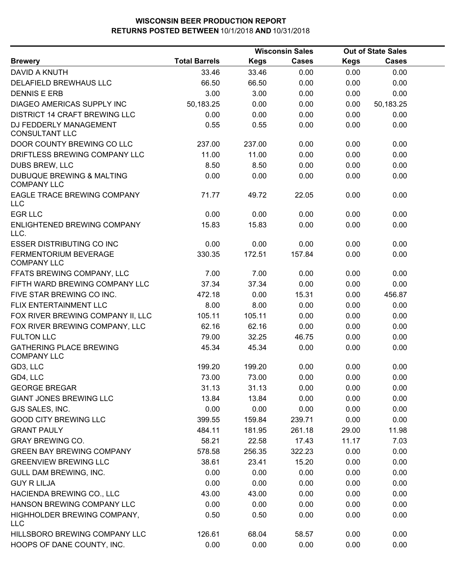|                                                      | <b>Wisconsin Sales</b> |             |              | <b>Out of State Sales</b> |              |  |
|------------------------------------------------------|------------------------|-------------|--------------|---------------------------|--------------|--|
| <b>Brewery</b>                                       | <b>Total Barrels</b>   | <b>Kegs</b> | <b>Cases</b> | <b>Kegs</b>               | <b>Cases</b> |  |
| DAVID A KNUTH                                        | 33.46                  | 33.46       | 0.00         | 0.00                      | 0.00         |  |
| DELAFIELD BREWHAUS LLC                               | 66.50                  | 66.50       | 0.00         | 0.00                      | 0.00         |  |
| <b>DENNIS E ERB</b>                                  | 3.00                   | 3.00        | 0.00         | 0.00                      | 0.00         |  |
| DIAGEO AMERICAS SUPPLY INC                           | 50,183.25              | 0.00        | 0.00         | 0.00                      | 50,183.25    |  |
| <b>DISTRICT 14 CRAFT BREWING LLC</b>                 | 0.00                   | 0.00        | 0.00         | 0.00                      | 0.00         |  |
| DJ FEDDERLY MANAGEMENT<br><b>CONSULTANT LLC</b>      | 0.55                   | 0.55        | 0.00         | 0.00                      | 0.00         |  |
| DOOR COUNTY BREWING CO LLC                           | 237.00                 | 237.00      | 0.00         | 0.00                      | 0.00         |  |
| DRIFTLESS BREWING COMPANY LLC                        | 11.00                  | 11.00       | 0.00         | 0.00                      | 0.00         |  |
| DUBS BREW, LLC                                       | 8.50                   | 8.50        | 0.00         | 0.00                      | 0.00         |  |
| DUBUQUE BREWING & MALTING<br><b>COMPANY LLC</b>      | 0.00                   | 0.00        | 0.00         | 0.00                      | 0.00         |  |
| EAGLE TRACE BREWING COMPANY<br><b>LLC</b>            | 71.77                  | 49.72       | 22.05        | 0.00                      | 0.00         |  |
| <b>EGR LLC</b>                                       | 0.00                   | 0.00        | 0.00         | 0.00                      | 0.00         |  |
| ENLIGHTENED BREWING COMPANY<br>LLC.                  | 15.83                  | 15.83       | 0.00         | 0.00                      | 0.00         |  |
| <b>ESSER DISTRIBUTING CO INC</b>                     | 0.00                   | 0.00        | 0.00         | 0.00                      | 0.00         |  |
| FERMENTORIUM BEVERAGE<br><b>COMPANY LLC</b>          | 330.35                 | 172.51      | 157.84       | 0.00                      | 0.00         |  |
| FFATS BREWING COMPANY, LLC                           | 7.00                   | 7.00        | 0.00         | 0.00                      | 0.00         |  |
| FIFTH WARD BREWING COMPANY LLC                       | 37.34                  | 37.34       | 0.00         | 0.00                      | 0.00         |  |
| FIVE STAR BREWING CO INC.                            | 472.18                 | 0.00        | 15.31        | 0.00                      | 456.87       |  |
| FLIX ENTERTAINMENT LLC                               | 8.00                   | 8.00        | 0.00         | 0.00                      | 0.00         |  |
| FOX RIVER BREWING COMPANY II, LLC                    | 105.11                 | 105.11      | 0.00         | 0.00                      | 0.00         |  |
| FOX RIVER BREWING COMPANY, LLC                       | 62.16                  | 62.16       | 0.00         | 0.00                      | 0.00         |  |
| <b>FULTON LLC</b>                                    | 79.00                  | 32.25       | 46.75        | 0.00                      | 0.00         |  |
| <b>GATHERING PLACE BREWING</b><br><b>COMPANY LLC</b> | 45.34                  | 45.34       | 0.00         | 0.00                      | 0.00         |  |
| GD3, LLC                                             | 199.20                 | 199.20      | 0.00         | 0.00                      | 0.00         |  |
| GD4, LLC                                             | 73.00                  | 73.00       | 0.00         | 0.00                      | 0.00         |  |
| <b>GEORGE BREGAR</b>                                 | 31.13                  | 31.13       | 0.00         | 0.00                      | 0.00         |  |
| <b>GIANT JONES BREWING LLC</b>                       | 13.84                  | 13.84       | 0.00         | 0.00                      | 0.00         |  |
| GJS SALES, INC.                                      | 0.00                   | 0.00        | 0.00         | 0.00                      | 0.00         |  |
| <b>GOOD CITY BREWING LLC</b>                         | 399.55                 | 159.84      | 239.71       | 0.00                      | 0.00         |  |
| <b>GRANT PAULY</b>                                   | 484.11                 | 181.95      | 261.18       | 29.00                     | 11.98        |  |
| <b>GRAY BREWING CO.</b>                              | 58.21                  | 22.58       | 17.43        | 11.17                     | 7.03         |  |
| <b>GREEN BAY BREWING COMPANY</b>                     | 578.58                 | 256.35      | 322.23       | 0.00                      | 0.00         |  |
| <b>GREENVIEW BREWING LLC</b>                         | 38.61                  | 23.41       | 15.20        | 0.00                      | 0.00         |  |
| GULL DAM BREWING, INC.                               | 0.00                   | 0.00        | 0.00         | 0.00                      | 0.00         |  |
| <b>GUY R LILJA</b>                                   | 0.00                   | 0.00        | 0.00         | 0.00                      | 0.00         |  |
| HACIENDA BREWING CO., LLC                            | 43.00                  | 43.00       | 0.00         | 0.00                      | 0.00         |  |
| HANSON BREWING COMPANY LLC                           | 0.00                   | 0.00        | 0.00         | 0.00                      | 0.00         |  |
| HIGHHOLDER BREWING COMPANY,<br><b>LLC</b>            | 0.50                   | 0.50        | 0.00         | 0.00                      | 0.00         |  |
| HILLSBORO BREWING COMPANY LLC                        | 126.61                 | 68.04       | 58.57        | 0.00                      | 0.00         |  |
| HOOPS OF DANE COUNTY, INC.                           | 0.00                   | 0.00        | 0.00         | 0.00                      | 0.00         |  |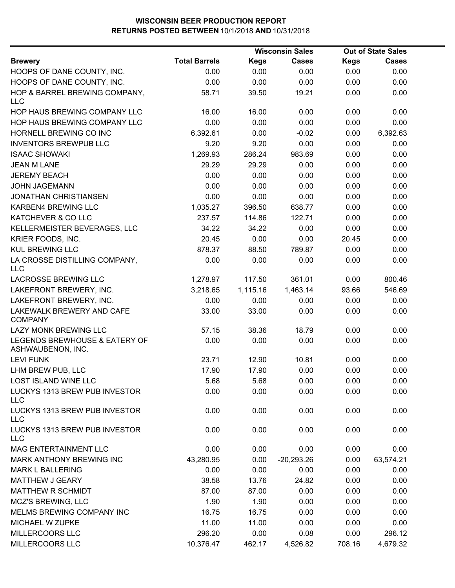|                                                    |                      | <b>Wisconsin Sales</b> |              |             | <b>Out of State Sales</b> |  |  |
|----------------------------------------------------|----------------------|------------------------|--------------|-------------|---------------------------|--|--|
| <b>Brewery</b>                                     | <b>Total Barrels</b> | <b>Kegs</b>            | <b>Cases</b> | <b>Kegs</b> | <b>Cases</b>              |  |  |
| HOOPS OF DANE COUNTY, INC.                         | 0.00                 | 0.00                   | 0.00         | 0.00        | 0.00                      |  |  |
| HOOPS OF DANE COUNTY, INC.                         | 0.00                 | 0.00                   | 0.00         | 0.00        | 0.00                      |  |  |
| HOP & BARREL BREWING COMPANY,<br><b>LLC</b>        | 58.71                | 39.50                  | 19.21        | 0.00        | 0.00                      |  |  |
| HOP HAUS BREWING COMPANY LLC                       | 16.00                | 16.00                  | 0.00         | 0.00        | 0.00                      |  |  |
| HOP HAUS BREWING COMPANY LLC                       | 0.00                 | 0.00                   | 0.00         | 0.00        | 0.00                      |  |  |
| HORNELL BREWING CO INC                             | 6,392.61             | 0.00                   | $-0.02$      | 0.00        | 6,392.63                  |  |  |
| <b>INVENTORS BREWPUB LLC</b>                       | 9.20                 | 9.20                   | 0.00         | 0.00        | 0.00                      |  |  |
| <b>ISAAC SHOWAKI</b>                               | 1,269.93             | 286.24                 | 983.69       | 0.00        | 0.00                      |  |  |
| <b>JEAN M LANE</b>                                 | 29.29                | 29.29                  | 0.00         | 0.00        | 0.00                      |  |  |
| <b>JEREMY BEACH</b>                                | 0.00                 | 0.00                   | 0.00         | 0.00        | 0.00                      |  |  |
| <b>JOHN JAGEMANN</b>                               | 0.00                 | 0.00                   | 0.00         | 0.00        | 0.00                      |  |  |
| <b>JONATHAN CHRISTIANSEN</b>                       | 0.00                 | 0.00                   | 0.00         | 0.00        | 0.00                      |  |  |
| KARBEN4 BREWING LLC                                | 1,035.27             | 396.50                 | 638.77       | 0.00        | 0.00                      |  |  |
| KATCHEVER & CO LLC                                 | 237.57               | 114.86                 | 122.71       | 0.00        | 0.00                      |  |  |
| KELLERMEISTER BEVERAGES, LLC                       | 34.22                | 34.22                  | 0.00         | 0.00        | 0.00                      |  |  |
| KRIER FOODS, INC.                                  | 20.45                | 0.00                   | 0.00         | 20.45       | 0.00                      |  |  |
| <b>KUL BREWING LLC</b>                             | 878.37               | 88.50                  | 789.87       | 0.00        | 0.00                      |  |  |
| LA CROSSE DISTILLING COMPANY,<br><b>LLC</b>        | 0.00                 | 0.00                   | 0.00         | 0.00        | 0.00                      |  |  |
| <b>LACROSSE BREWING LLC</b>                        | 1,278.97             | 117.50                 | 361.01       | 0.00        | 800.46                    |  |  |
| LAKEFRONT BREWERY, INC.                            | 3,218.65             | 1,115.16               | 1,463.14     | 93.66       | 546.69                    |  |  |
| LAKEFRONT BREWERY, INC.                            | 0.00                 | 0.00                   | 0.00         | 0.00        | 0.00                      |  |  |
| LAKEWALK BREWERY AND CAFE<br><b>COMPANY</b>        | 33.00                | 33.00                  | 0.00         | 0.00        | 0.00                      |  |  |
| LAZY MONK BREWING LLC                              | 57.15                | 38.36                  | 18.79        | 0.00        | 0.00                      |  |  |
| LEGENDS BREWHOUSE & EATERY OF<br>ASHWAUBENON, INC. | 0.00                 | 0.00                   | 0.00         | 0.00        | 0.00                      |  |  |
| <b>LEVI FUNK</b>                                   | 23.71                | 12.90                  | 10.81        | 0.00        | 0.00                      |  |  |
| LHM BREW PUB, LLC                                  | 17.90                | 17.90                  | 0.00         | 0.00        | 0.00                      |  |  |
| LOST ISLAND WINE LLC                               | 5.68                 | 5.68                   | 0.00         | 0.00        | 0.00                      |  |  |
| LUCKYS 1313 BREW PUB INVESTOR<br><b>LLC</b>        | 0.00                 | 0.00                   | 0.00         | 0.00        | 0.00                      |  |  |
| LUCKYS 1313 BREW PUB INVESTOR<br><b>LLC</b>        | 0.00                 | 0.00                   | 0.00         | 0.00        | 0.00                      |  |  |
| LUCKYS 1313 BREW PUB INVESTOR<br><b>LLC</b>        | 0.00                 | 0.00                   | 0.00         | 0.00        | 0.00                      |  |  |
| <b>MAG ENTERTAINMENT LLC</b>                       | 0.00                 | 0.00                   | 0.00         | 0.00        | 0.00                      |  |  |
| <b>MARK ANTHONY BREWING INC</b>                    | 43,280.95            | 0.00                   | $-20,293.26$ | 0.00        | 63,574.21                 |  |  |
| <b>MARK L BALLERING</b>                            | 0.00                 | 0.00                   | 0.00         | 0.00        | 0.00                      |  |  |
| <b>MATTHEW J GEARY</b>                             | 38.58                | 13.76                  | 24.82        | 0.00        | 0.00                      |  |  |
| MATTHEW R SCHMIDT                                  | 87.00                | 87.00                  | 0.00         | 0.00        | 0.00                      |  |  |
| <b>MCZ'S BREWING, LLC</b>                          | 1.90                 | 1.90                   | 0.00         | 0.00        | 0.00                      |  |  |
| MELMS BREWING COMPANY INC                          | 16.75                | 16.75                  | 0.00         | 0.00        | 0.00                      |  |  |
| MICHAEL W ZUPKE                                    | 11.00                | 11.00                  | 0.00         | 0.00        | 0.00                      |  |  |
| MILLERCOORS LLC                                    | 296.20               | 0.00                   | 0.08         | 0.00        | 296.12                    |  |  |
| MILLERCOORS LLC                                    | 10,376.47            | 462.17                 | 4,526.82     | 708.16      | 4,679.32                  |  |  |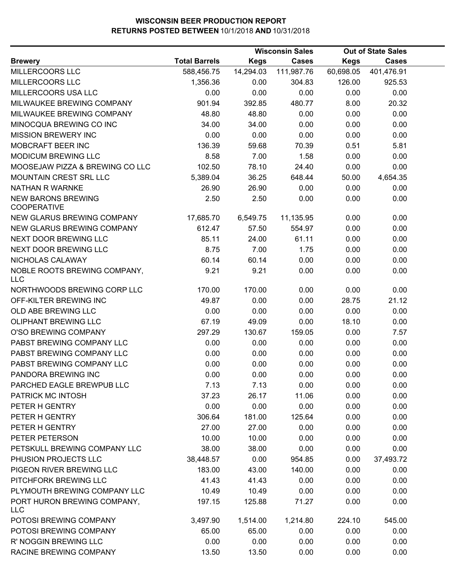|                                                 |                      |             | <b>Wisconsin Sales</b> |             | <b>Out of State Sales</b> |  |
|-------------------------------------------------|----------------------|-------------|------------------------|-------------|---------------------------|--|
| <b>Brewery</b>                                  | <b>Total Barrels</b> | <b>Kegs</b> | <b>Cases</b>           | <b>Kegs</b> | <b>Cases</b>              |  |
| MILLERCOORS LLC                                 | 588,456.75           | 14,294.03   | 111,987.76             | 60,698.05   | 401,476.91                |  |
| MILLERCOORS LLC                                 | 1,356.36             | 0.00        | 304.83                 | 126.00      | 925.53                    |  |
| MILLERCOORS USA LLC                             | 0.00                 | 0.00        | 0.00                   | 0.00        | 0.00                      |  |
| MILWAUKEE BREWING COMPANY                       | 901.94               | 392.85      | 480.77                 | 8.00        | 20.32                     |  |
| MILWAUKEE BREWING COMPANY                       | 48.80                | 48.80       | 0.00                   | 0.00        | 0.00                      |  |
| MINOCQUA BREWING CO INC                         | 34.00                | 34.00       | 0.00                   | 0.00        | 0.00                      |  |
| MISSION BREWERY INC                             | 0.00                 | 0.00        | 0.00                   | 0.00        | 0.00                      |  |
| MOBCRAFT BEER INC                               | 136.39               | 59.68       | 70.39                  | 0.51        | 5.81                      |  |
| <b>MODICUM BREWING LLC</b>                      | 8.58                 | 7.00        | 1.58                   | 0.00        | 0.00                      |  |
| MOOSEJAW PIZZA & BREWING CO LLC                 | 102.50               | 78.10       | 24.40                  | 0.00        | 0.00                      |  |
| MOUNTAIN CREST SRL LLC                          | 5,389.04             | 36.25       | 648.44                 | 50.00       | 4,654.35                  |  |
| NATHAN R WARNKE                                 | 26.90                | 26.90       | 0.00                   | 0.00        | 0.00                      |  |
| <b>NEW BARONS BREWING</b><br><b>COOPERATIVE</b> | 2.50                 | 2.50        | 0.00                   | 0.00        | 0.00                      |  |
| NEW GLARUS BREWING COMPANY                      | 17,685.70            | 6,549.75    | 11,135.95              | 0.00        | 0.00                      |  |
| NEW GLARUS BREWING COMPANY                      | 612.47               | 57.50       | 554.97                 | 0.00        | 0.00                      |  |
| NEXT DOOR BREWING LLC                           | 85.11                | 24.00       | 61.11                  | 0.00        | 0.00                      |  |
| NEXT DOOR BREWING LLC                           | 8.75                 | 7.00        | 1.75                   | 0.00        | 0.00                      |  |
| NICHOLAS CALAWAY                                | 60.14                | 60.14       | 0.00                   | 0.00        | 0.00                      |  |
| NOBLE ROOTS BREWING COMPANY,<br><b>LLC</b>      | 9.21                 | 9.21        | 0.00                   | 0.00        | 0.00                      |  |
| NORTHWOODS BREWING CORP LLC                     | 170.00               | 170.00      | 0.00                   | 0.00        | 0.00                      |  |
| OFF-KILTER BREWING INC                          | 49.87                | 0.00        | 0.00                   | 28.75       | 21.12                     |  |
| OLD ABE BREWING LLC                             | 0.00                 | 0.00        | 0.00                   | 0.00        | 0.00                      |  |
| <b>OLIPHANT BREWING LLC</b>                     | 67.19                | 49.09       | 0.00                   | 18.10       | 0.00                      |  |
| O'SO BREWING COMPANY                            | 297.29               | 130.67      | 159.05                 | 0.00        | 7.57                      |  |
| PABST BREWING COMPANY LLC                       | 0.00                 | 0.00        | 0.00                   | 0.00        | 0.00                      |  |
| PABST BREWING COMPANY LLC                       | 0.00                 | 0.00        | 0.00                   | 0.00        | 0.00                      |  |
| PABST BREWING COMPANY LLC                       | 0.00                 | 0.00        | 0.00                   | 0.00        | 0.00                      |  |
| PANDORA BREWING INC                             | 0.00                 | 0.00        | 0.00                   | 0.00        | 0.00                      |  |
| PARCHED EAGLE BREWPUB LLC                       | 7.13                 | 7.13        | 0.00                   | 0.00        | 0.00                      |  |
| PATRICK MC INTOSH                               | 37.23                | 26.17       | 11.06                  | 0.00        | 0.00                      |  |
| PETER H GENTRY                                  | 0.00                 | 0.00        | 0.00                   | 0.00        | 0.00                      |  |
| PETER H GENTRY                                  | 306.64               | 181.00      | 125.64                 | 0.00        | 0.00                      |  |
| PETER H GENTRY                                  | 27.00                | 27.00       | 0.00                   | 0.00        | 0.00                      |  |
| PETER PETERSON                                  | 10.00                | 10.00       | 0.00                   | 0.00        | 0.00                      |  |
| PETSKULL BREWING COMPANY LLC                    | 38.00                | 38.00       | 0.00                   | 0.00        | 0.00                      |  |
| PHUSION PROJECTS LLC                            | 38,448.57            | 0.00        | 954.85                 | 0.00        | 37,493.72                 |  |
| PIGEON RIVER BREWING LLC                        | 183.00               | 43.00       | 140.00                 | 0.00        | 0.00                      |  |
| PITCHFORK BREWING LLC                           | 41.43                | 41.43       | 0.00                   | 0.00        | 0.00                      |  |
| PLYMOUTH BREWING COMPANY LLC                    | 10.49                | 10.49       | 0.00                   | 0.00        | 0.00                      |  |
| PORT HURON BREWING COMPANY,<br><b>LLC</b>       | 197.15               | 125.88      | 71.27                  | 0.00        | 0.00                      |  |
| POTOSI BREWING COMPANY                          | 3,497.90             | 1,514.00    | 1,214.80               | 224.10      | 545.00                    |  |
| POTOSI BREWING COMPANY                          | 65.00                | 65.00       | 0.00                   | 0.00        | 0.00                      |  |
| R' NOGGIN BREWING LLC                           | 0.00                 | 0.00        | 0.00                   | 0.00        | 0.00                      |  |
| RACINE BREWING COMPANY                          | 13.50                | 13.50       | 0.00                   | 0.00        | 0.00                      |  |
|                                                 |                      |             |                        |             |                           |  |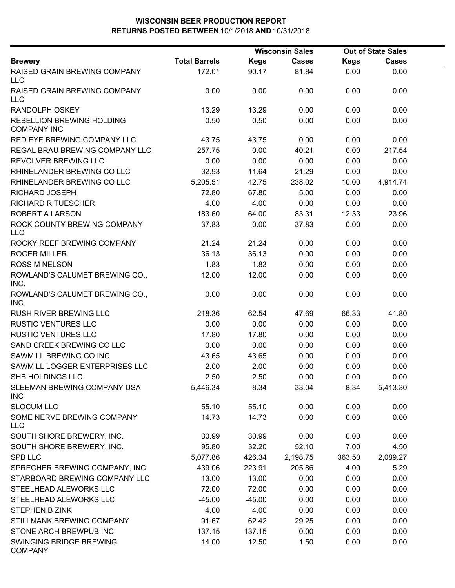|                                                 |                      | <b>Wisconsin Sales</b> |              |             | <b>Out of State Sales</b> |  |
|-------------------------------------------------|----------------------|------------------------|--------------|-------------|---------------------------|--|
| <b>Brewery</b>                                  | <b>Total Barrels</b> | <b>Kegs</b>            | <b>Cases</b> | <b>Kegs</b> | <b>Cases</b>              |  |
| RAISED GRAIN BREWING COMPANY<br>LLC             | 172.01               | 90.17                  | 81.84        | 0.00        | 0.00                      |  |
| <b>RAISED GRAIN BREWING COMPANY</b><br>LLC      | 0.00                 | 0.00                   | 0.00         | 0.00        | 0.00                      |  |
| <b>RANDOLPH OSKEY</b>                           | 13.29                | 13.29                  | 0.00         | 0.00        | 0.00                      |  |
| REBELLION BREWING HOLDING<br><b>COMPANY INC</b> | 0.50                 | 0.50                   | 0.00         | 0.00        | 0.00                      |  |
| RED EYE BREWING COMPANY LLC                     | 43.75                | 43.75                  | 0.00         | 0.00        | 0.00                      |  |
| REGAL BRAU BREWING COMPANY LLC                  | 257.75               | 0.00                   | 40.21        | 0.00        | 217.54                    |  |
| REVOLVER BREWING LLC                            | 0.00                 | 0.00                   | 0.00         | 0.00        | 0.00                      |  |
| RHINELANDER BREWING CO LLC                      | 32.93                | 11.64                  | 21.29        | 0.00        | 0.00                      |  |
| RHINELANDER BREWING CO LLC                      | 5,205.51             | 42.75                  | 238.02       | 10.00       | 4,914.74                  |  |
| <b>RICHARD JOSEPH</b>                           | 72.80                | 67.80                  | 5.00         | 0.00        | 0.00                      |  |
| <b>RICHARD R TUESCHER</b>                       | 4.00                 | 4.00                   | 0.00         | 0.00        | 0.00                      |  |
| ROBERT A LARSON                                 | 183.60               | 64.00                  | 83.31        | 12.33       | 23.96                     |  |
| ROCK COUNTY BREWING COMPANY<br>LLC              | 37.83                | 0.00                   | 37.83        | 0.00        | 0.00                      |  |
| ROCKY REEF BREWING COMPANY                      | 21.24                | 21.24                  | 0.00         | 0.00        | 0.00                      |  |
| <b>ROGER MILLER</b>                             | 36.13                | 36.13                  | 0.00         | 0.00        | 0.00                      |  |
| <b>ROSS M NELSON</b>                            | 1.83                 | 1.83                   | 0.00         | 0.00        | 0.00                      |  |
| ROWLAND'S CALUMET BREWING CO.,<br>INC.          | 12.00                | 12.00                  | 0.00         | 0.00        | 0.00                      |  |
| ROWLAND'S CALUMET BREWING CO.,<br>INC.          | 0.00                 | 0.00                   | 0.00         | 0.00        | 0.00                      |  |
| RUSH RIVER BREWING LLC                          | 218.36               | 62.54                  | 47.69        | 66.33       | 41.80                     |  |
| <b>RUSTIC VENTURES LLC</b>                      | 0.00                 | 0.00                   | 0.00         | 0.00        | 0.00                      |  |
| <b>RUSTIC VENTURES LLC</b>                      | 17.80                | 17.80                  | 0.00         | 0.00        | 0.00                      |  |
| SAND CREEK BREWING CO LLC                       | 0.00                 | 0.00                   | 0.00         | 0.00        | 0.00                      |  |
| SAWMILL BREWING CO INC                          | 43.65                | 43.65                  | 0.00         | 0.00        | 0.00                      |  |
| SAWMILL LOGGER ENTERPRISES LLC                  | 2.00                 | 2.00                   | 0.00         | 0.00        | 0.00                      |  |
| SHB HOLDINGS LLC                                | 2.50                 | 2.50                   | 0.00         | 0.00        | 0.00                      |  |
| SLEEMAN BREWING COMPANY USA<br>INC              | 5,446.34             | 8.34                   | 33.04        | $-8.34$     | 5,413.30                  |  |
| <b>SLOCUM LLC</b>                               | 55.10                | 55.10                  | 0.00         | 0.00        | 0.00                      |  |
| SOME NERVE BREWING COMPANY<br><b>LLC</b>        | 14.73                | 14.73                  | 0.00         | 0.00        | 0.00                      |  |
| SOUTH SHORE BREWERY, INC.                       | 30.99                | 30.99                  | 0.00         | 0.00        | 0.00                      |  |
| SOUTH SHORE BREWERY, INC.                       | 95.80                | 32.20                  | 52.10        | 7.00        | 4.50                      |  |
| SPB LLC                                         | 5,077.86             | 426.34                 | 2,198.75     | 363.50      | 2,089.27                  |  |
| SPRECHER BREWING COMPANY, INC.                  | 439.06               | 223.91                 | 205.86       | 4.00        | 5.29                      |  |
| STARBOARD BREWING COMPANY LLC                   | 13.00                | 13.00                  | 0.00         | 0.00        | 0.00                      |  |
| STEELHEAD ALEWORKS LLC                          | 72.00                | 72.00                  | 0.00         | 0.00        | 0.00                      |  |
| STEELHEAD ALEWORKS LLC                          | $-45.00$             | $-45.00$               | 0.00         | 0.00        | 0.00                      |  |
| <b>STEPHEN B ZINK</b>                           | 4.00                 | 4.00                   | 0.00         | 0.00        | 0.00                      |  |
| STILLMANK BREWING COMPANY                       | 91.67                | 62.42                  | 29.25        | 0.00        | 0.00                      |  |
| STONE ARCH BREWPUB INC.                         | 137.15               | 137.15                 | 0.00         | 0.00        | 0.00                      |  |
| SWINGING BRIDGE BREWING<br><b>COMPANY</b>       | 14.00                | 12.50                  | 1.50         | 0.00        | 0.00                      |  |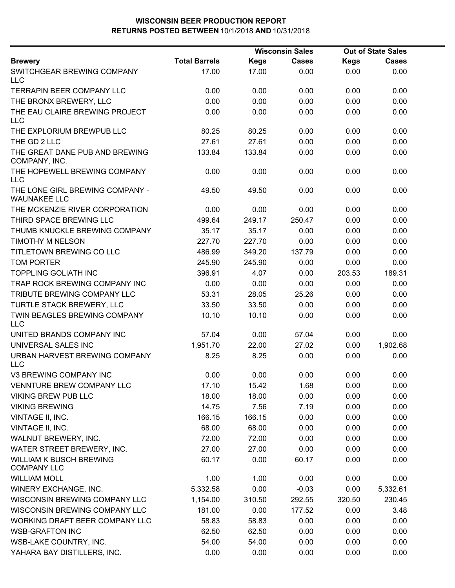|                                                        | <b>Wisconsin Sales</b> |             |              | <b>Out of State Sales</b> |          |  |
|--------------------------------------------------------|------------------------|-------------|--------------|---------------------------|----------|--|
| <b>Brewery</b>                                         | <b>Total Barrels</b>   | <b>Kegs</b> | <b>Cases</b> | <b>Kegs</b>               | Cases    |  |
| SWITCHGEAR BREWING COMPANY<br><b>LLC</b>               | 17.00                  | 17.00       | 0.00         | 0.00                      | 0.00     |  |
| <b>TERRAPIN BEER COMPANY LLC</b>                       | 0.00                   | 0.00        | 0.00         | 0.00                      | 0.00     |  |
| THE BRONX BREWERY, LLC                                 | 0.00                   | 0.00        | 0.00         | 0.00                      | 0.00     |  |
| THE EAU CLAIRE BREWING PROJECT<br><b>LLC</b>           | 0.00                   | 0.00        | 0.00         | 0.00                      | 0.00     |  |
| THE EXPLORIUM BREWPUB LLC                              | 80.25                  | 80.25       | 0.00         | 0.00                      | 0.00     |  |
| THE GD 2 LLC                                           | 27.61                  | 27.61       | 0.00         | 0.00                      | 0.00     |  |
| THE GREAT DANE PUB AND BREWING<br>COMPANY, INC.        | 133.84                 | 133.84      | 0.00         | 0.00                      | 0.00     |  |
| THE HOPEWELL BREWING COMPANY<br><b>LLC</b>             | 0.00                   | 0.00        | 0.00         | 0.00                      | 0.00     |  |
| THE LONE GIRL BREWING COMPANY -<br><b>WAUNAKEE LLC</b> | 49.50                  | 49.50       | 0.00         | 0.00                      | 0.00     |  |
| THE MCKENZIE RIVER CORPORATION                         | 0.00                   | 0.00        | 0.00         | 0.00                      | 0.00     |  |
| THIRD SPACE BREWING LLC                                | 499.64                 | 249.17      | 250.47       | 0.00                      | 0.00     |  |
| THUMB KNUCKLE BREWING COMPANY                          | 35.17                  | 35.17       | 0.00         | 0.00                      | 0.00     |  |
| <b>TIMOTHY M NELSON</b>                                | 227.70                 | 227.70      | 0.00         | 0.00                      | 0.00     |  |
| TITLETOWN BREWING CO LLC                               | 486.99                 | 349.20      | 137.79       | 0.00                      | 0.00     |  |
| <b>TOM PORTER</b>                                      | 245.90                 | 245.90      | 0.00         | 0.00                      | 0.00     |  |
| <b>TOPPLING GOLIATH INC</b>                            | 396.91                 | 4.07        | 0.00         | 203.53                    | 189.31   |  |
| TRAP ROCK BREWING COMPANY INC                          | 0.00                   | 0.00        | 0.00         | 0.00                      | 0.00     |  |
| TRIBUTE BREWING COMPANY LLC                            | 53.31                  | 28.05       | 25.26        | 0.00                      | 0.00     |  |
| TURTLE STACK BREWERY, LLC                              | 33.50                  | 33.50       | 0.00         | 0.00                      | 0.00     |  |
| TWIN BEAGLES BREWING COMPANY<br><b>LLC</b>             | 10.10                  | 10.10       | 0.00         | 0.00                      | 0.00     |  |
| UNITED BRANDS COMPANY INC                              | 57.04                  | 0.00        | 57.04        | 0.00                      | 0.00     |  |
| UNIVERSAL SALES INC                                    | 1,951.70               | 22.00       | 27.02        | 0.00                      | 1,902.68 |  |
| URBAN HARVEST BREWING COMPANY<br><b>LLC</b>            | 8.25                   | 8.25        | 0.00         | 0.00                      | 0.00     |  |
| V3 BREWING COMPANY INC                                 | 0.00                   | 0.00        | 0.00         | 0.00                      | 0.00     |  |
| <b>VENNTURE BREW COMPANY LLC</b>                       | 17.10                  | 15.42       | 1.68         | 0.00                      | 0.00     |  |
| <b>VIKING BREW PUB LLC</b>                             | 18.00                  | 18.00       | 0.00         | 0.00                      | 0.00     |  |
| <b>VIKING BREWING</b>                                  | 14.75                  | 7.56        | 7.19         | 0.00                      | 0.00     |  |
| VINTAGE II, INC.                                       | 166.15                 | 166.15      | 0.00         | 0.00                      | 0.00     |  |
| VINTAGE II, INC.                                       | 68.00                  | 68.00       | 0.00         | 0.00                      | 0.00     |  |
| WALNUT BREWERY, INC.                                   | 72.00                  | 72.00       | 0.00         | 0.00                      | 0.00     |  |
| WATER STREET BREWERY, INC.                             | 27.00                  | 27.00       | 0.00         | 0.00                      | 0.00     |  |
| <b>WILLIAM K BUSCH BREWING</b><br><b>COMPANY LLC</b>   | 60.17                  | 0.00        | 60.17        | 0.00                      | 0.00     |  |
| <b>WILLIAM MOLL</b>                                    | 1.00                   | 1.00        | 0.00         | 0.00                      | 0.00     |  |
| WINERY EXCHANGE, INC.                                  | 5,332.58               | 0.00        | $-0.03$      | 0.00                      | 5,332.61 |  |
| WISCONSIN BREWING COMPANY LLC                          | 1,154.00               | 310.50      | 292.55       | 320.50                    | 230.45   |  |
| WISCONSIN BREWING COMPANY LLC                          | 181.00                 | 0.00        | 177.52       | 0.00                      | 3.48     |  |
| WORKING DRAFT BEER COMPANY LLC                         | 58.83                  | 58.83       | 0.00         | 0.00                      | 0.00     |  |
| <b>WSB-GRAFTON INC</b>                                 | 62.50                  | 62.50       | 0.00         | 0.00                      | 0.00     |  |
| WSB-LAKE COUNTRY, INC.                                 | 54.00                  | 54.00       | 0.00         | 0.00                      | 0.00     |  |
| YAHARA BAY DISTILLERS, INC.                            | 0.00                   | 0.00        | 0.00         | 0.00                      | 0.00     |  |